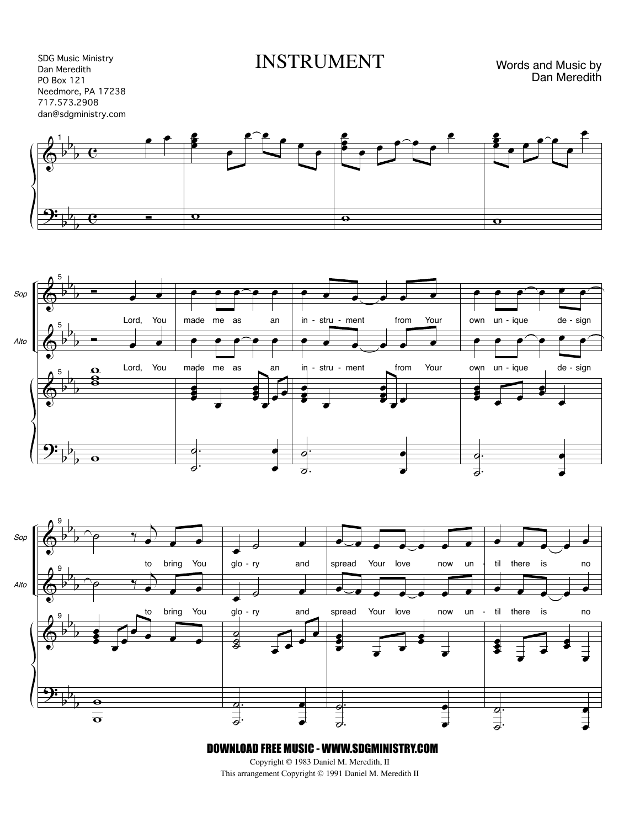SDG Music Ministry Dan Meredith PO Box 121 Needmore, PA 17238 717.573.2908 dan@sdgministry.com INSTRUMENT

Words and Music by Dan Meredith







DOWNLOAD FREE MUSIC - WWW.SDGMINISTRY.COM

Copyright © 1983 Daniel M. Meredith, II This arrangement Copyright © 1991 Daniel M. Meredith II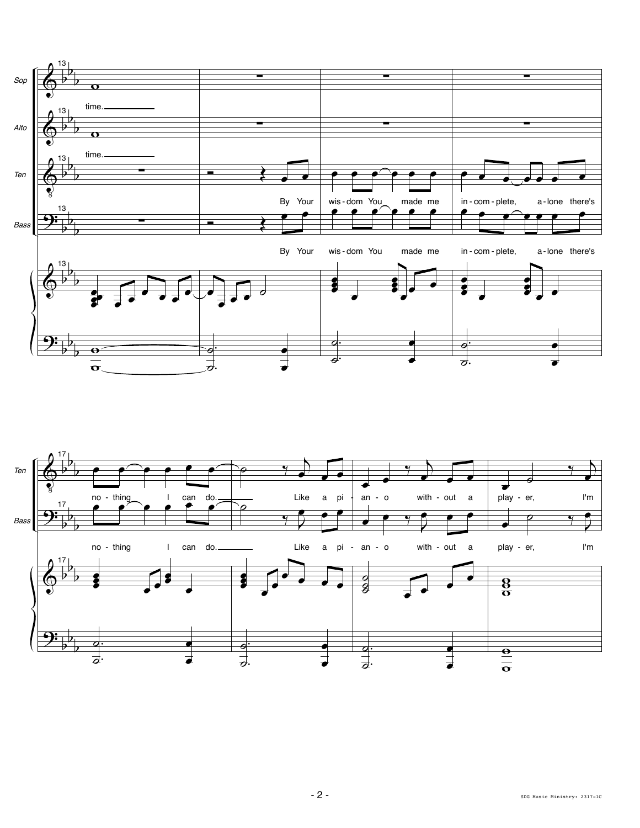

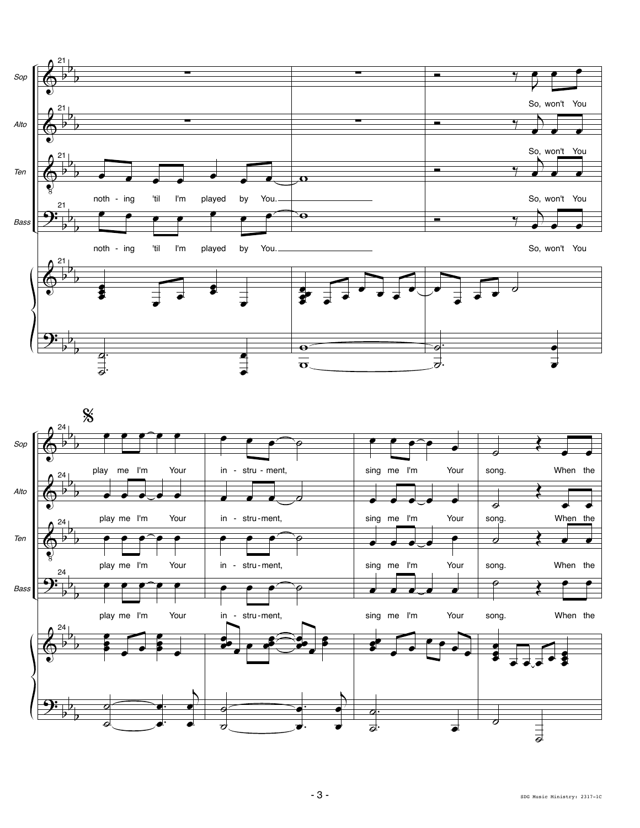

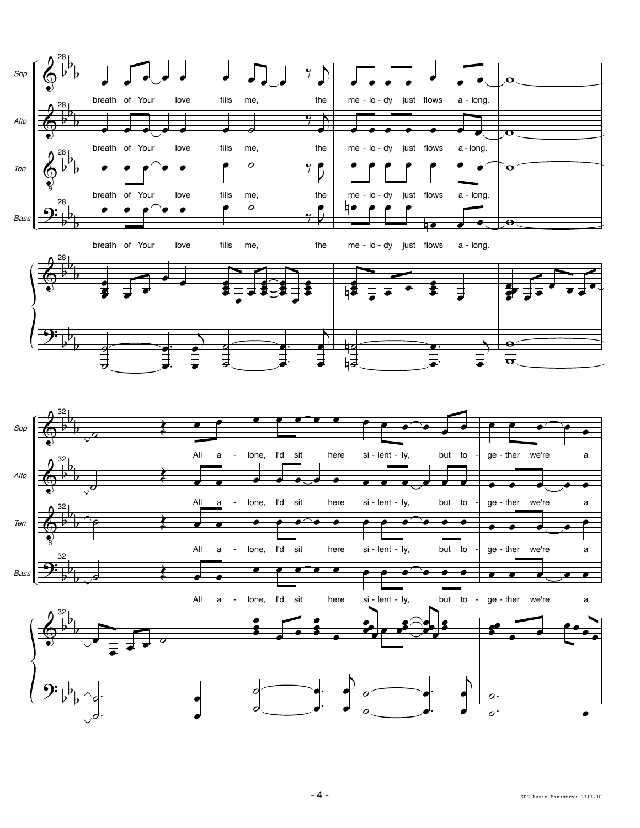

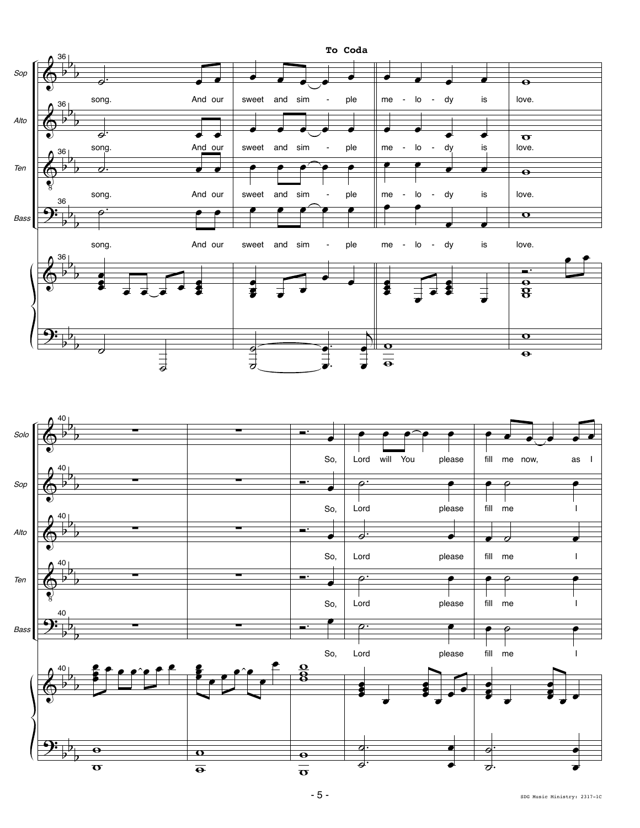

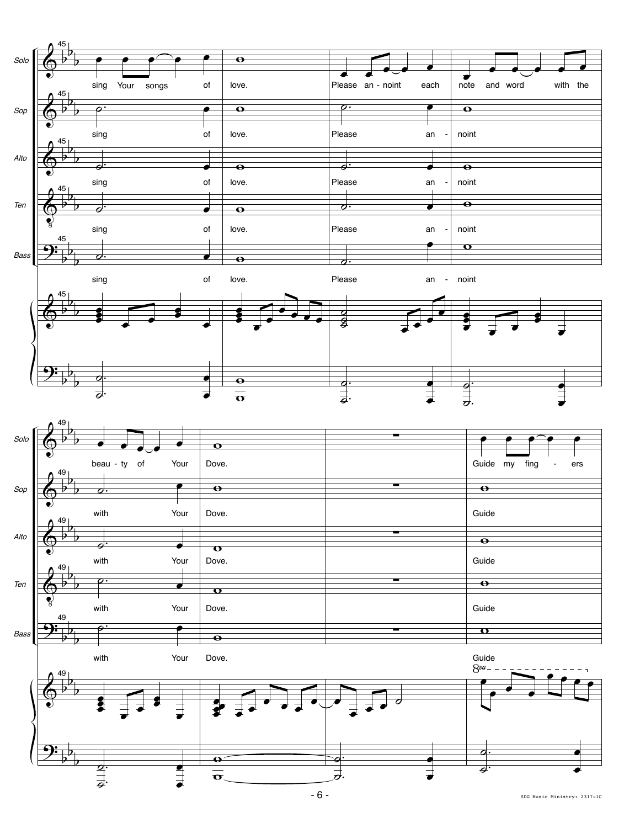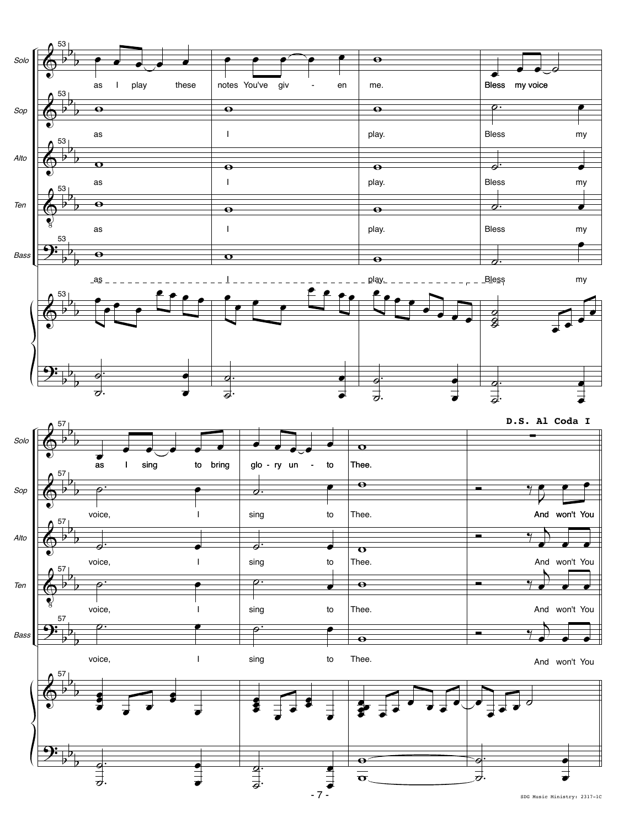

SDG Music Ministry: 2317-1C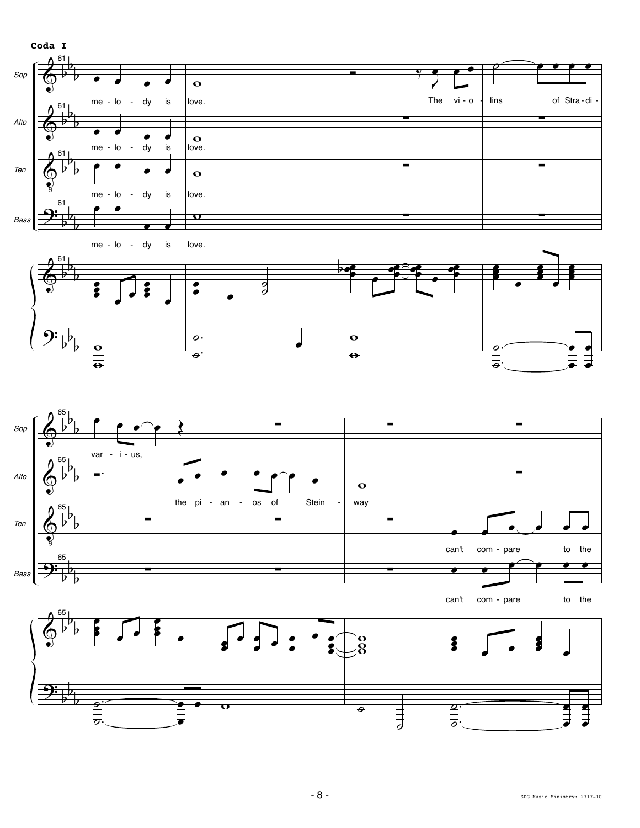

œ

œ

˙

i<br>i<br>i

.

 $\frac{1}{2}$ 

.

œ

 $\overline{\mathbf{o}}$ 

 $\frac{1}{2}$